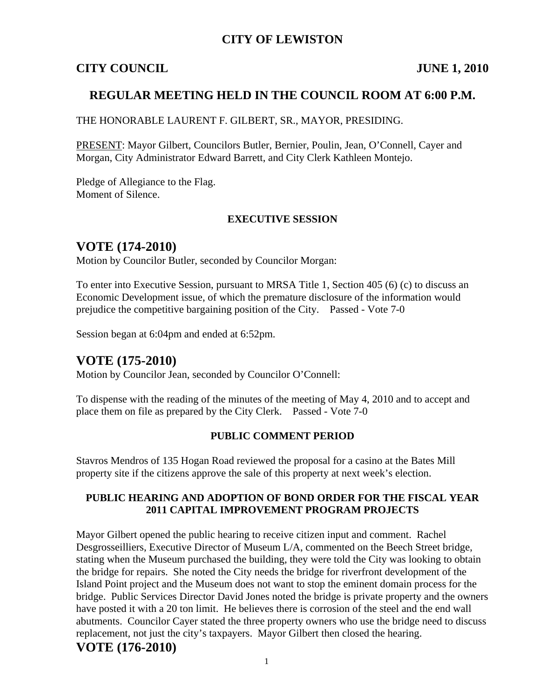### **CITY OF LEWISTON**

#### **CITY COUNCIL JUNE 1, 2010**

#### **REGULAR MEETING HELD IN THE COUNCIL ROOM AT 6:00 P.M.**

THE HONORABLE LAURENT F. GILBERT, SR., MAYOR, PRESIDING.

PRESENT: Mayor Gilbert, Councilors Butler, Bernier, Poulin, Jean, O'Connell, Cayer and Morgan, City Administrator Edward Barrett, and City Clerk Kathleen Montejo.

Pledge of Allegiance to the Flag. Moment of Silence.

#### **EXECUTIVE SESSION**

#### **VOTE (174-2010)**

Motion by Councilor Butler, seconded by Councilor Morgan:

To enter into Executive Session, pursuant to MRSA Title 1, Section 405 (6) (c) to discuss an Economic Development issue, of which the premature disclosure of the information would prejudice the competitive bargaining position of the City. Passed - Vote 7-0

Session began at 6:04pm and ended at 6:52pm.

## **VOTE (175-2010)**

Motion by Councilor Jean, seconded by Councilor O'Connell:

To dispense with the reading of the minutes of the meeting of May 4, 2010 and to accept and place them on file as prepared by the City Clerk. Passed - Vote 7-0

#### **PUBLIC COMMENT PERIOD**

Stavros Mendros of 135 Hogan Road reviewed the proposal for a casino at the Bates Mill property site if the citizens approve the sale of this property at next week's election.

#### **PUBLIC HEARING AND ADOPTION OF BOND ORDER FOR THE FISCAL YEAR 2011 CAPITAL IMPROVEMENT PROGRAM PROJECTS**

Mayor Gilbert opened the public hearing to receive citizen input and comment. Rachel Desgrosseilliers, Executive Director of Museum L/A, commented on the Beech Street bridge, stating when the Museum purchased the building, they were told the City was looking to obtain the bridge for repairs. She noted the City needs the bridge for riverfront development of the Island Point project and the Museum does not want to stop the eminent domain process for the bridge. Public Services Director David Jones noted the bridge is private property and the owners have posted it with a 20 ton limit. He believes there is corrosion of the steel and the end wall abutments. Councilor Cayer stated the three property owners who use the bridge need to discuss replacement, not just the city's taxpayers. Mayor Gilbert then closed the hearing.

## **VOTE (176-2010)**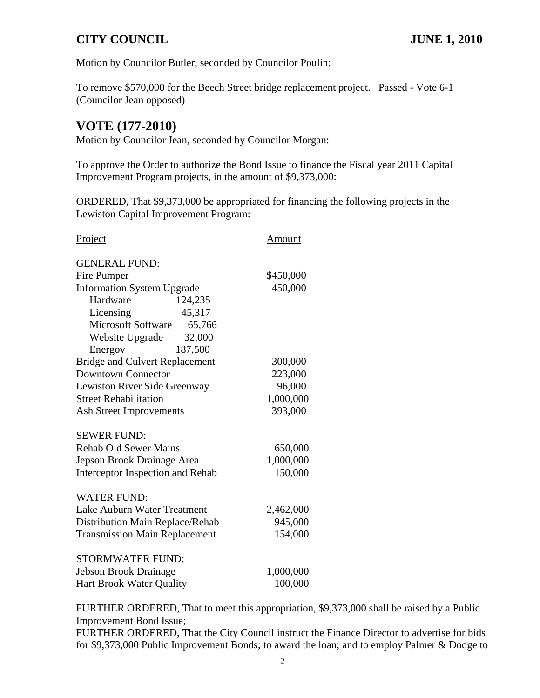Motion by Councilor Butler, seconded by Councilor Poulin:

To remove \$570,000 for the Beech Street bridge replacement project. Passed - Vote 6-1 (Councilor Jean opposed)

## **VOTE (177-2010)**

Motion by Councilor Jean, seconded by Councilor Morgan:

To approve the Order to authorize the Bond Issue to finance the Fiscal year 2011 Capital Improvement Program projects, in the amount of \$9,373,000:

ORDERED, That \$9,373,000 be appropriated for financing the following projects in the Lewiston Capital Improvement Program:

| Project                               | Amount    |
|---------------------------------------|-----------|
| <b>GENERAL FUND:</b>                  |           |
| Fire Pumper                           | \$450,000 |
| <b>Information System Upgrade</b>     | 450,000   |
| Hardware<br>124,235                   |           |
| 45,317<br>Licensing                   |           |
| <b>Microsoft Software</b><br>65,766   |           |
| Website Upgrade<br>32,000             |           |
| 187,500<br>Energov                    |           |
| <b>Bridge and Culvert Replacement</b> | 300,000   |
| <b>Downtown Connector</b>             | 223,000   |
| Lewiston River Side Greenway          | 96,000    |
| <b>Street Rehabilitation</b>          | 1,000,000 |
| <b>Ash Street Improvements</b>        | 393,000   |
| <b>SEWER FUND:</b>                    |           |
| <b>Rehab Old Sewer Mains</b>          | 650,000   |
| Jepson Brook Drainage Area            | 1,000,000 |
| Interceptor Inspection and Rehab      | 150,000   |
| <b>WATER FUND:</b>                    |           |
| Lake Auburn Water Treatment           | 2,462,000 |
| Distribution Main Replace/Rehab       | 945,000   |
| <b>Transmission Main Replacement</b>  | 154,000   |
| <b>STORMWATER FUND:</b>               |           |
| <b>Jebson Brook Drainage</b>          | 1,000,000 |
| <b>Hart Brook Water Quality</b>       | 100,000   |

FURTHER ORDERED, That to meet this appropriation, \$9,373,000 shall be raised by a Public Improvement Bond Issue;

FURTHER ORDERED, That the City Council instruct the Finance Director to advertise for bids for \$9,373,000 Public Improvement Bonds; to award the loan; and to employ Palmer & Dodge to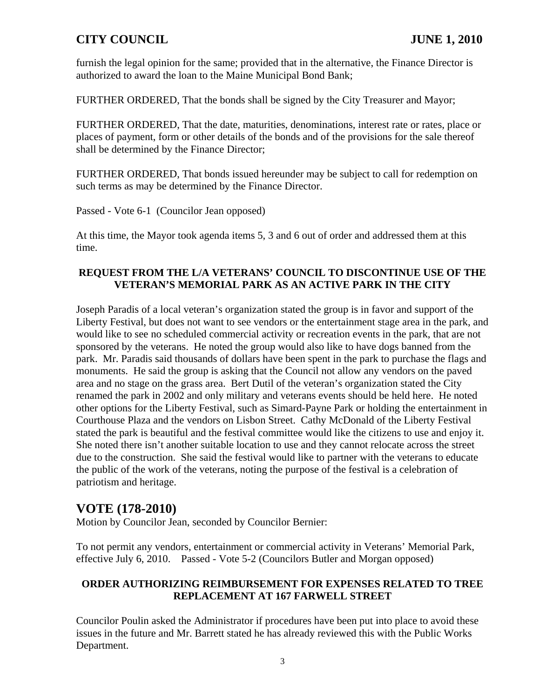furnish the legal opinion for the same; provided that in the alternative, the Finance Director is authorized to award the loan to the Maine Municipal Bond Bank;

FURTHER ORDERED, That the bonds shall be signed by the City Treasurer and Mayor;

FURTHER ORDERED, That the date, maturities, denominations, interest rate or rates, place or places of payment, form or other details of the bonds and of the provisions for the sale thereof shall be determined by the Finance Director;

FURTHER ORDERED, That bonds issued hereunder may be subject to call for redemption on such terms as may be determined by the Finance Director.

Passed - Vote 6-1 (Councilor Jean opposed)

At this time, the Mayor took agenda items 5, 3 and 6 out of order and addressed them at this time.

#### **REQUEST FROM THE L/A VETERANS' COUNCIL TO DISCONTINUE USE OF THE VETERAN'S MEMORIAL PARK AS AN ACTIVE PARK IN THE CITY**

Joseph Paradis of a local veteran's organization stated the group is in favor and support of the Liberty Festival, but does not want to see vendors or the entertainment stage area in the park, and would like to see no scheduled commercial activity or recreation events in the park, that are not sponsored by the veterans. He noted the group would also like to have dogs banned from the park. Mr. Paradis said thousands of dollars have been spent in the park to purchase the flags and monuments. He said the group is asking that the Council not allow any vendors on the paved area and no stage on the grass area. Bert Dutil of the veteran's organization stated the City renamed the park in 2002 and only military and veterans events should be held here. He noted other options for the Liberty Festival, such as Simard-Payne Park or holding the entertainment in Courthouse Plaza and the vendors on Lisbon Street. Cathy McDonald of the Liberty Festival stated the park is beautiful and the festival committee would like the citizens to use and enjoy it. She noted there isn't another suitable location to use and they cannot relocate across the street due to the construction. She said the festival would like to partner with the veterans to educate the public of the work of the veterans, noting the purpose of the festival is a celebration of patriotism and heritage.

# **VOTE (178-2010)**

Motion by Councilor Jean, seconded by Councilor Bernier:

To not permit any vendors, entertainment or commercial activity in Veterans' Memorial Park, effective July 6, 2010. Passed - Vote 5-2 (Councilors Butler and Morgan opposed)

#### **ORDER AUTHORIZING REIMBURSEMENT FOR EXPENSES RELATED TO TREE REPLACEMENT AT 167 FARWELL STREET**

Councilor Poulin asked the Administrator if procedures have been put into place to avoid these issues in the future and Mr. Barrett stated he has already reviewed this with the Public Works Department.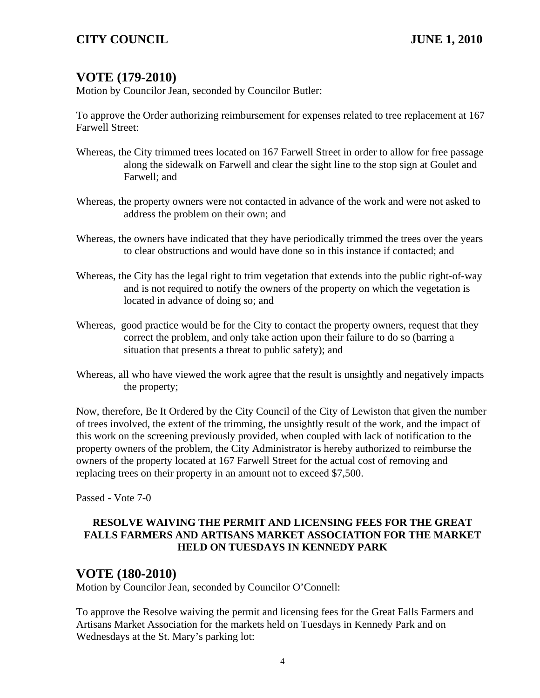## **VOTE (179-2010)**

Motion by Councilor Jean, seconded by Councilor Butler:

To approve the Order authorizing reimbursement for expenses related to tree replacement at 167 Farwell Street:

- Whereas, the City trimmed trees located on 167 Farwell Street in order to allow for free passage along the sidewalk on Farwell and clear the sight line to the stop sign at Goulet and Farwell; and
- Whereas, the property owners were not contacted in advance of the work and were not asked to address the problem on their own; and
- Whereas, the owners have indicated that they have periodically trimmed the trees over the years to clear obstructions and would have done so in this instance if contacted; and
- Whereas, the City has the legal right to trim vegetation that extends into the public right-of-way and is not required to notify the owners of the property on which the vegetation is located in advance of doing so; and
- Whereas, good practice would be for the City to contact the property owners, request that they correct the problem, and only take action upon their failure to do so (barring a situation that presents a threat to public safety); and
- Whereas, all who have viewed the work agree that the result is unsightly and negatively impacts the property;

Now, therefore, Be It Ordered by the City Council of the City of Lewiston that given the number of trees involved, the extent of the trimming, the unsightly result of the work, and the impact of this work on the screening previously provided, when coupled with lack of notification to the property owners of the problem, the City Administrator is hereby authorized to reimburse the owners of the property located at 167 Farwell Street for the actual cost of removing and replacing trees on their property in an amount not to exceed \$7,500.

Passed - Vote 7-0

#### **RESOLVE WAIVING THE PERMIT AND LICENSING FEES FOR THE GREAT FALLS FARMERS AND ARTISANS MARKET ASSOCIATION FOR THE MARKET HELD ON TUESDAYS IN KENNEDY PARK**

## **VOTE (180-2010)**

Motion by Councilor Jean, seconded by Councilor O'Connell:

To approve the Resolve waiving the permit and licensing fees for the Great Falls Farmers and Artisans Market Association for the markets held on Tuesdays in Kennedy Park and on Wednesdays at the St. Mary's parking lot: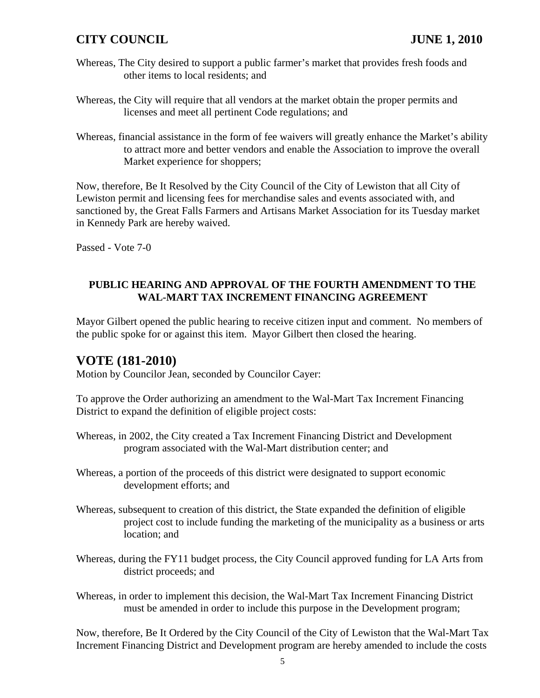- Whereas, The City desired to support a public farmer's market that provides fresh foods and other items to local residents; and
- Whereas, the City will require that all vendors at the market obtain the proper permits and licenses and meet all pertinent Code regulations; and
- Whereas, financial assistance in the form of fee waivers will greatly enhance the Market's ability to attract more and better vendors and enable the Association to improve the overall Market experience for shoppers;

Now, therefore, Be It Resolved by the City Council of the City of Lewiston that all City of Lewiston permit and licensing fees for merchandise sales and events associated with, and sanctioned by, the Great Falls Farmers and Artisans Market Association for its Tuesday market in Kennedy Park are hereby waived.

Passed - Vote 7-0

#### **PUBLIC HEARING AND APPROVAL OF THE FOURTH AMENDMENT TO THE WAL-MART TAX INCREMENT FINANCING AGREEMENT**

Mayor Gilbert opened the public hearing to receive citizen input and comment. No members of the public spoke for or against this item. Mayor Gilbert then closed the hearing.

## **VOTE (181-2010)**

Motion by Councilor Jean, seconded by Councilor Cayer:

To approve the Order authorizing an amendment to the Wal-Mart Tax Increment Financing District to expand the definition of eligible project costs:

- Whereas, in 2002, the City created a Tax Increment Financing District and Development program associated with the Wal-Mart distribution center; and
- Whereas, a portion of the proceeds of this district were designated to support economic development efforts; and
- Whereas, subsequent to creation of this district, the State expanded the definition of eligible project cost to include funding the marketing of the municipality as a business or arts location; and
- Whereas, during the FY11 budget process, the City Council approved funding for LA Arts from district proceeds; and
- Whereas, in order to implement this decision, the Wal-Mart Tax Increment Financing District must be amended in order to include this purpose in the Development program;

Now, therefore, Be It Ordered by the City Council of the City of Lewiston that the Wal-Mart Tax Increment Financing District and Development program are hereby amended to include the costs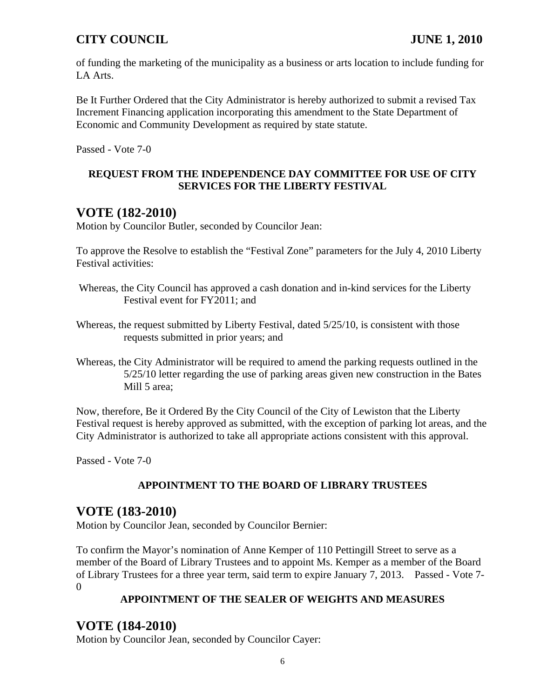of funding the marketing of the municipality as a business or arts location to include funding for LA Arts.

Be It Further Ordered that the City Administrator is hereby authorized to submit a revised Tax Increment Financing application incorporating this amendment to the State Department of Economic and Community Development as required by state statute.

Passed - Vote 7-0

#### **REQUEST FROM THE INDEPENDENCE DAY COMMITTEE FOR USE OF CITY SERVICES FOR THE LIBERTY FESTIVAL**

# **VOTE (182-2010)**

Motion by Councilor Butler, seconded by Councilor Jean:

To approve the Resolve to establish the "Festival Zone" parameters for the July 4, 2010 Liberty Festival activities:

- Whereas, the City Council has approved a cash donation and in-kind services for the Liberty Festival event for FY2011; and
- Whereas, the request submitted by Liberty Festival, dated 5/25/10, is consistent with those requests submitted in prior years; and
- Whereas, the City Administrator will be required to amend the parking requests outlined in the 5/25/10 letter regarding the use of parking areas given new construction in the Bates Mill 5 area;

Now, therefore, Be it Ordered By the City Council of the City of Lewiston that the Liberty Festival request is hereby approved as submitted, with the exception of parking lot areas, and the City Administrator is authorized to take all appropriate actions consistent with this approval.

Passed - Vote 7-0

## **APPOINTMENT TO THE BOARD OF LIBRARY TRUSTEES**

## **VOTE (183-2010)**

Motion by Councilor Jean, seconded by Councilor Bernier:

To confirm the Mayor's nomination of Anne Kemper of 110 Pettingill Street to serve as a member of the Board of Library Trustees and to appoint Ms. Kemper as a member of the Board of Library Trustees for a three year term, said term to expire January 7, 2013. Passed - Vote 7-  $\Omega$ 

#### **APPOINTMENT OF THE SEALER OF WEIGHTS AND MEASURES**

# **VOTE (184-2010)**

Motion by Councilor Jean, seconded by Councilor Cayer: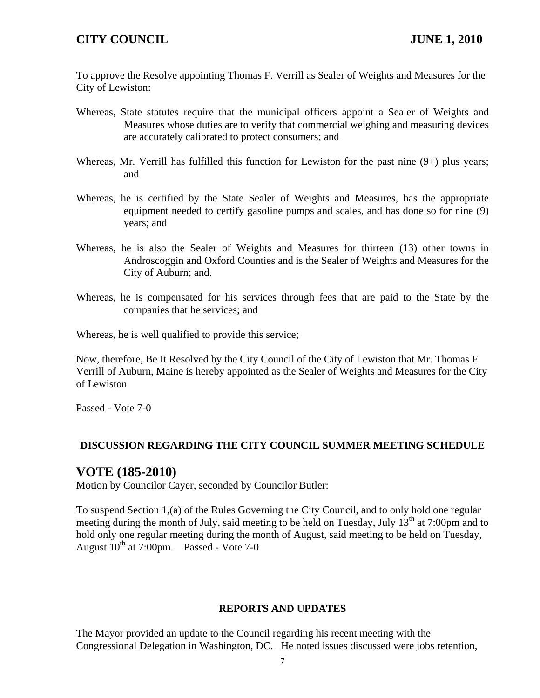To approve the Resolve appointing Thomas F. Verrill as Sealer of Weights and Measures for the City of Lewiston:

- Whereas, State statutes require that the municipal officers appoint a Sealer of Weights and Measures whose duties are to verify that commercial weighing and measuring devices are accurately calibrated to protect consumers; and
- Whereas, Mr. Verrill has fulfilled this function for Lewiston for the past nine  $(9+)$  plus years; and
- Whereas, he is certified by the State Sealer of Weights and Measures, has the appropriate equipment needed to certify gasoline pumps and scales, and has done so for nine (9) years; and
- Whereas, he is also the Sealer of Weights and Measures for thirteen (13) other towns in Androscoggin and Oxford Counties and is the Sealer of Weights and Measures for the City of Auburn; and.
- Whereas, he is compensated for his services through fees that are paid to the State by the companies that he services; and

Whereas, he is well qualified to provide this service;

Now, therefore, Be It Resolved by the City Council of the City of Lewiston that Mr. Thomas F. Verrill of Auburn, Maine is hereby appointed as the Sealer of Weights and Measures for the City of Lewiston

Passed - Vote 7-0

#### **DISCUSSION REGARDING THE CITY COUNCIL SUMMER MEETING SCHEDULE**

#### **VOTE (185-2010)**

Motion by Councilor Cayer, seconded by Councilor Butler:

To suspend Section 1,(a) of the Rules Governing the City Council, and to only hold one regular meeting during the month of July, said meeting to be held on Tuesday, July  $13<sup>th</sup>$  at 7:00pm and to hold only one regular meeting during the month of August, said meeting to be held on Tuesday, August  $10^{th}$  at 7:00pm. Passed - Vote 7-0

#### **REPORTS AND UPDATES**

The Mayor provided an update to the Council regarding his recent meeting with the Congressional Delegation in Washington, DC. He noted issues discussed were jobs retention,